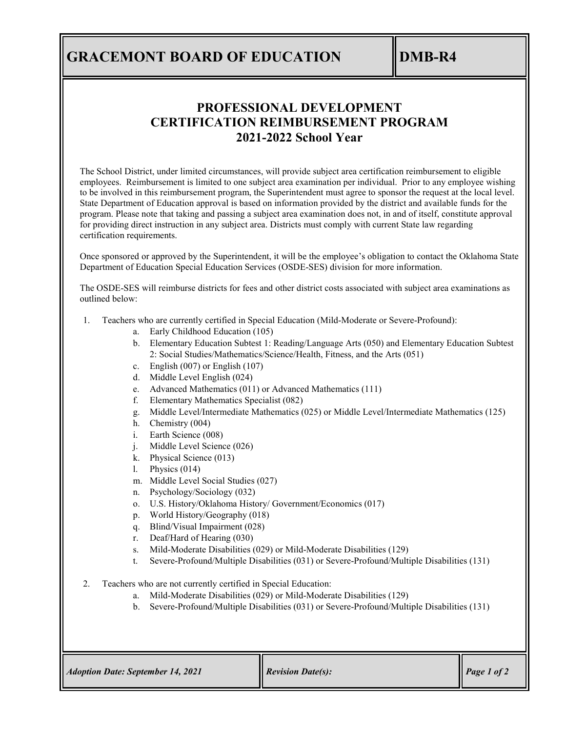## **GRACEMONT BOARD OF EDUCATION DMB-R4**

### **PROFESSIONAL DEVELOPMENT CERTIFICATION REIMBURSEMENT PROGRAM 2021-2022 School Year**

The School District, under limited circumstances, will provide subject area certification reimbursement to eligible employees. Reimbursement is limited to one subject area examination per individual. Prior to any employee wishing to be involved in this reimbursement program, the Superintendent must agree to sponsor the request at the local level. State Department of Education approval is based on information provided by the district and available funds for the program. Please note that taking and passing a subject area examination does not, in and of itself, constitute approval for providing direct instruction in any subject area. Districts must comply with current State law regarding certification requirements.

Once sponsored or approved by the Superintendent, it will be the employee's obligation to contact the Oklahoma State Department of Education Special Education Services (OSDE-SES) division for more information.

The OSDE-SES will reimburse districts for fees and other district costs associated with subject area examinations as outlined below:

- 1. Teachers who are currently certified in Special Education (Mild-Moderate or Severe-Profound):
	- a. Early Childhood Education (105)
	- b. Elementary Education Subtest 1: Reading/Language Arts (050) and Elementary Education Subtest 2: Social Studies/Mathematics/Science/Health, Fitness, and the Arts (051)
	- c. English (007) or English (107)
	- d. Middle Level English (024)
	- e. Advanced Mathematics (011) or Advanced Mathematics (111)
	- f. Elementary Mathematics Specialist (082)
	- g. Middle Level/Intermediate Mathematics (025) or Middle Level/Intermediate Mathematics (125)
	- h. Chemistry (004)
	- i. Earth Science (008)
	- j. Middle Level Science (026)
	- k. Physical Science (013)
	- l. Physics (014)
	- m. Middle Level Social Studies (027)
	- n. Psychology/Sociology (032)
	- o. U.S. History/Oklahoma History/ Government/Economics (017)
	- p. World History/Geography (018)
	- q. Blind/Visual Impairment (028)
	- r. Deaf/Hard of Hearing (030)
	- s. Mild-Moderate Disabilities (029) or Mild-Moderate Disabilities (129)
	- t. Severe-Profound/Multiple Disabilities (031) or Severe-Profound/Multiple Disabilities (131)
- 2. Teachers who are not currently certified in Special Education:
	- a. Mild-Moderate Disabilities (029) or Mild-Moderate Disabilities (129)
	- b. Severe-Profound/Multiple Disabilities (031) or Severe-Profound/Multiple Disabilities (131)